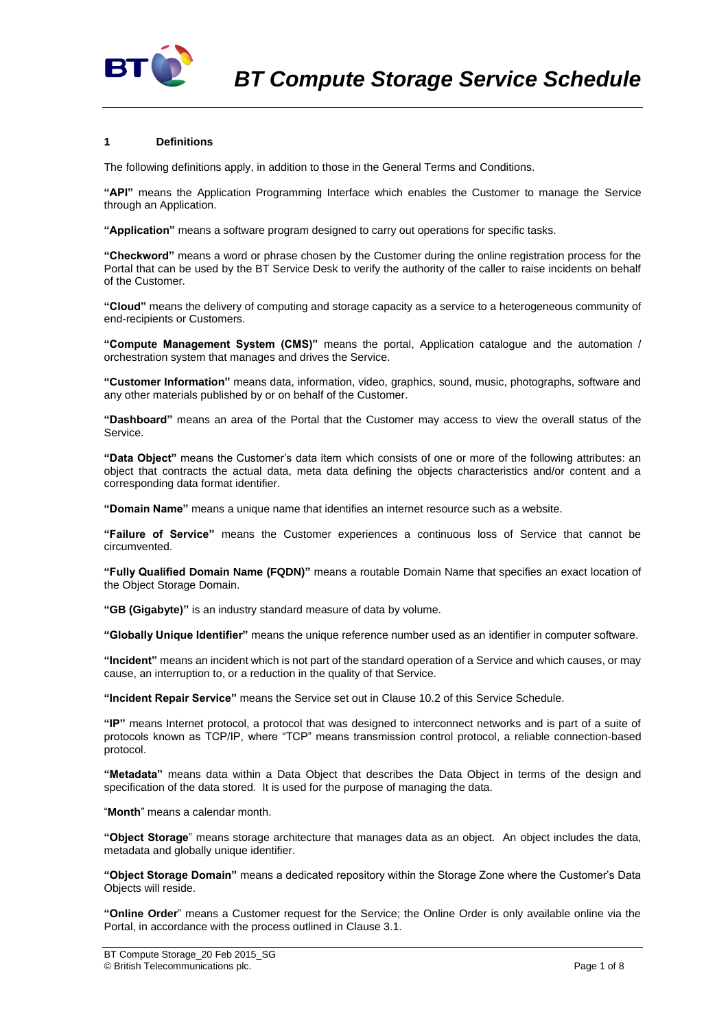

### **1 Definitions**

The following definitions apply, in addition to those in the General Terms and Conditions.

**"API"** means the Application Programming Interface which enables the Customer to manage the Service through an Application.

**"Application"** means a software program designed to carry out operations for specific tasks.

**"Checkword"** means a word or phrase chosen by the Customer during the online registration process for the Portal that can be used by the BT Service Desk to verify the authority of the caller to raise incidents on behalf of the Customer.

**"Cloud"** means the delivery of computing and storage capacity as a service to a heterogeneous community of end-recipients or Customers.

**"Compute Management System (CMS)"** means the portal, Application catalogue and the automation / orchestration system that manages and drives the Service.

**"Customer Information"** means data, information, video, graphics, sound, music, photographs, software and any other materials published by or on behalf of the Customer.

**"Dashboard"** means an area of the Portal that the Customer may access to view the overall status of the Service.

**"Data Object"** means the Customer's data item which consists of one or more of the following attributes: an object that contracts the actual data, meta data defining the objects characteristics and/or content and a corresponding data format identifier.

**"Domain Name"** means a unique name that identifies an internet resource such as a website.

**"Failure of Service"** means the Customer experiences a continuous loss of Service that cannot be circumvented.

**"Fully Qualified Domain Name (FQDN)"** means a routable Domain Name that specifies an exact location of the Object Storage Domain.

**"GB (Gigabyte)"** is an industry standard measure of data by volume.

**"Globally Unique Identifier"** means the unique reference number used as an identifier in computer software.

**"Incident"** means an incident which is not part of the standard operation of a Service and which causes, or may cause, an interruption to, or a reduction in the quality of that Service.

**"Incident Repair Service"** means the Service set out in Clause [10.2](#page-3-0) of this Service Schedule.

**"IP"** means Internet protocol, a protocol that was designed to interconnect networks and is part of a suite of protocols known as TCP/IP, where "TCP" means transmission control protocol, a reliable connection-based protocol.

**"Metadata"** means data within a Data Object that describes the Data Object in terms of the design and specification of the data stored. It is used for the purpose of managing the data.

"**Month**" means a calendar month.

**"Object Storage**" means storage architecture that manages data as an object. An object includes the data, metadata and globally unique identifier.

**"Object Storage Domain"** means a dedicated repository within the Storage Zone where the Customer's Data Objects will reside.

**"Online Order**" means a Customer request for the Service; the Online Order is only available online via the Portal, in accordance with the process outlined in Claus[e 3.1.](#page-1-0)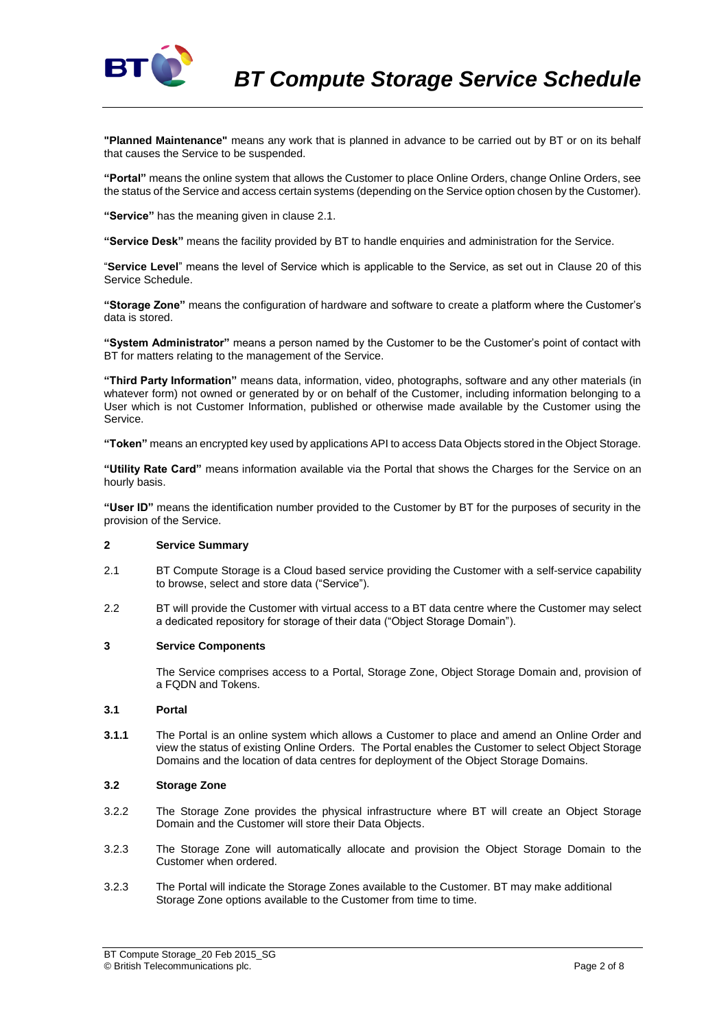

**"Planned Maintenance"** means any work that is planned in advance to be carried out by BT or on its behalf that causes the Service to be suspended.

**"Portal"** means the online system that allows the Customer to place Online Orders, change Online Orders, see the status of the Service and access certain systems (depending on the Service option chosen by the Customer).

**"Service"** has the meaning given in clause 2.1.

**"Service Desk"** means the facility provided by BT to handle enquiries and administration for the Service.

"**Service Level**" means the level of Service which is applicable to the Service, as set out in Clause 20 of this Service Schedule.

**"Storage Zone"** means the configuration of hardware and software to create a platform where the Customer's data is stored.

**"System Administrator"** means a person named by the Customer to be the Customer's point of contact with BT for matters relating to the management of the Service.

**"Third Party Information"** means data, information, video, photographs, software and any other materials (in whatever form) not owned or generated by or on behalf of the Customer, including information belonging to a User which is not Customer Information, published or otherwise made available by the Customer using the Service.

**"Token"** means an encrypted key used by applications API to access Data Objects stored in the Object Storage.

**"Utility Rate Card"** means information available via the Portal that shows the Charges for the Service on an hourly basis.

**"User ID"** means the identification number provided to the Customer by BT for the purposes of security in the provision of the Service.

# **2 Service Summary**

- 2.1 BT Compute Storage is a Cloud based service providing the Customer with a self-service capability to browse, select and store data ("Service").
- 2.2 BT will provide the Customer with virtual access to a BT data centre where the Customer may select a dedicated repository for storage of their data ("Object Storage Domain").

#### **3 Service Components**

The Service comprises access to a Portal, Storage Zone, Object Storage Domain and, provision of a FQDN and Tokens.

### <span id="page-1-0"></span>**3.1 Portal**

**3.1.1** The Portal is an online system which allows a Customer to place and amend an Online Order and view the status of existing Online Orders. The Portal enables the Customer to select Object Storage Domains and the location of data centres for deployment of the Object Storage Domains.

### **3.2 Storage Zone**

- 3.2.2 The Storage Zone provides the physical infrastructure where BT will create an Object Storage Domain and the Customer will store their Data Objects.
- 3.2.3 The Storage Zone will automatically allocate and provision the Object Storage Domain to the Customer when ordered.
- 3.2.3 The Portal will indicate the Storage Zones available to the Customer. BT may make additional Storage Zone options available to the Customer from time to time.

BT Compute Storage\_20 Feb 2015\_SG © British Telecommunications plc. Page 2 of 8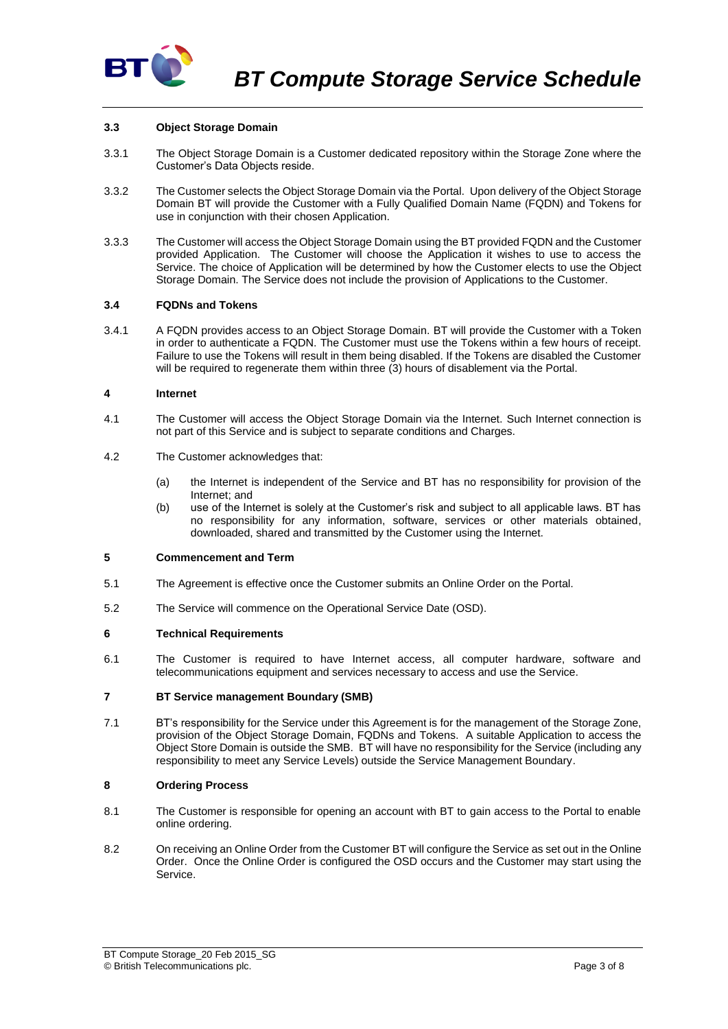

# **3.3 Object Storage Domain**

- 3.3.1 The Object Storage Domain is a Customer dedicated repository within the Storage Zone where the Customer's Data Objects reside.
- 3.3.2 The Customer selects the Object Storage Domain via the Portal. Upon delivery of the Object Storage Domain BT will provide the Customer with a Fully Qualified Domain Name (FQDN) and Tokens for use in conjunction with their chosen Application.
- 3.3.3 The Customer will access the Object Storage Domain using the BT provided FQDN and the Customer provided Application. The Customer will choose the Application it wishes to use to access the Service. The choice of Application will be determined by how the Customer elects to use the Object Storage Domain. The Service does not include the provision of Applications to the Customer.

### **3.4 FQDNs and Tokens**

3.4.1 A FQDN provides access to an Object Storage Domain. BT will provide the Customer with a Token in order to authenticate a FQDN. The Customer must use the Tokens within a few hours of receipt. Failure to use the Tokens will result in them being disabled. If the Tokens are disabled the Customer will be required to regenerate them within three (3) hours of disablement via the Portal.

### **4 Internet**

- 4.1 The Customer will access the Object Storage Domain via the Internet. Such Internet connection is not part of this Service and is subject to separate conditions and Charges.
- 4.2 The Customer acknowledges that:
	- (a) the Internet is independent of the Service and BT has no responsibility for provision of the Internet; and
	- (b) use of the Internet is solely at the Customer's risk and subject to all applicable laws. BT has no responsibility for any information, software, services or other materials obtained, downloaded, shared and transmitted by the Customer using the Internet.

### **5 Commencement and Term**

- 5.1 The Agreement is effective once the Customer submits an Online Order on the Portal.
- 5.2 The Service will commence on the Operational Service Date (OSD).

### **6 Technical Requirements**

6.1 The Customer is required to have Internet access, all computer hardware, software and telecommunications equipment and services necessary to access and use the Service.

### **7 BT Service management Boundary (SMB)**

7.1 BT's responsibility for the Service under this Agreement is for the management of the Storage Zone, provision of the Object Storage Domain, FQDNs and Tokens. A suitable Application to access the Object Store Domain is outside the SMB. BT will have no responsibility for the Service (including any responsibility to meet any Service Levels) outside the Service Management Boundary.

### **8 Ordering Process**

- 8.1 The Customer is responsible for opening an account with BT to gain access to the Portal to enable online ordering.
- 8.2 On receiving an Online Order from the Customer BT will configure the Service as set out in the Online Order. Once the Online Order is configured the OSD occurs and the Customer may start using the Service.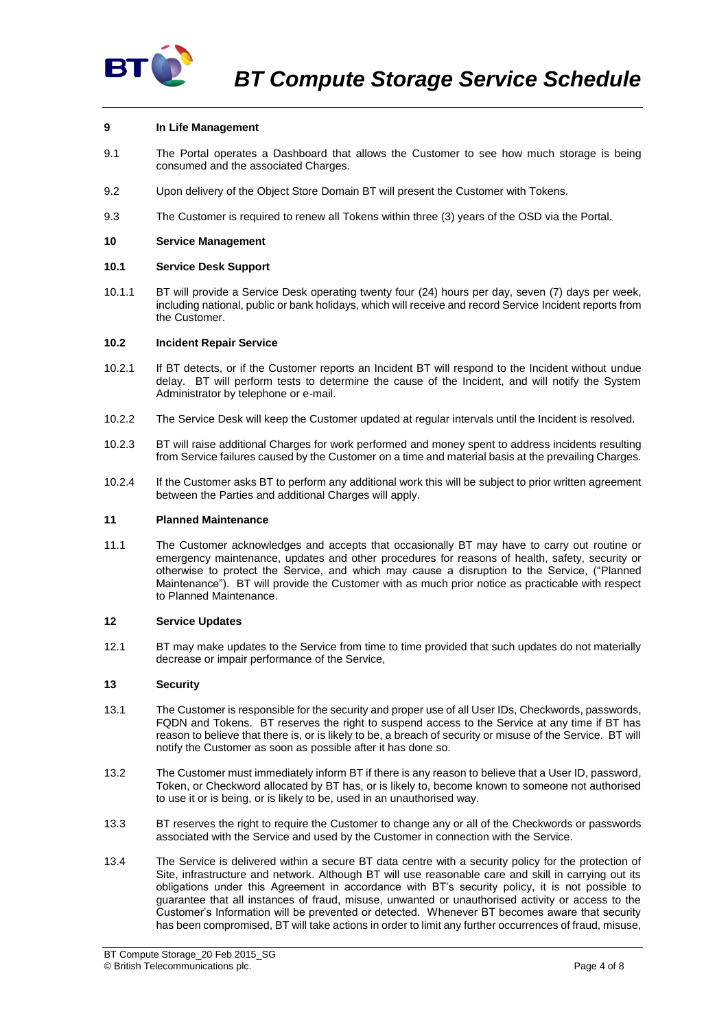

### **9 In Life Management**

- 9.1 The Portal operates a Dashboard that allows the Customer to see how much storage is being consumed and the associated Charges.
- 9.2 Upon delivery of the Object Store Domain BT will present the Customer with Tokens.
- 9.3 The Customer is required to renew all Tokens within three (3) years of the OSD via the Portal.

### **10 Service Management**

### **10.1 Service Desk Support**

10.1.1 BT will provide a Service Desk operating twenty four (24) hours per day, seven (7) days per week, including national, public or bank holidays, which will receive and record Service Incident reports from the Customer.

### <span id="page-3-0"></span>**10.2 Incident Repair Service**

- 10.2.1 If BT detects, or if the Customer reports an Incident BT will respond to the Incident without undue delay. BT will perform tests to determine the cause of the Incident, and will notify the System Administrator by telephone or e-mail.
- 10.2.2 The Service Desk will keep the Customer updated at regular intervals until the Incident is resolved.
- 10.2.3 BT will raise additional Charges for work performed and money spent to address incidents resulting from Service failures caused by the Customer on a time and material basis at the prevailing Charges.
- 10.2.4 If the Customer asks BT to perform any additional work this will be subject to prior written agreement between the Parties and additional Charges will apply.

### **11 Planned Maintenance**

11.1 The Customer acknowledges and accepts that occasionally BT may have to carry out routine or emergency maintenance, updates and other procedures for reasons of health, safety, security or otherwise to protect the Service, and which may cause a disruption to the Service, ("Planned Maintenance"). BT will provide the Customer with as much prior notice as practicable with respect to Planned Maintenance.

### **12 Service Updates**

12.1 BT may make updates to the Service from time to time provided that such updates do not materially decrease or impair performance of the Service,

### **13 Security**

- 13.1 The Customer is responsible for the security and proper use of all User IDs, Checkwords, passwords, FQDN and Tokens. BT reserves the right to suspend access to the Service at any time if BT has reason to believe that there is, or is likely to be, a breach of security or misuse of the Service. BT will notify the Customer as soon as possible after it has done so.
- 13.2 The Customer must immediately inform BT if there is any reason to believe that a User ID, password, Token, or Checkword allocated by BT has, or is likely to, become known to someone not authorised to use it or is being, or is likely to be, used in an unauthorised way.
- 13.3 BT reserves the right to require the Customer to change any or all of the Checkwords or passwords associated with the Service and used by the Customer in connection with the Service.
- 13.4 The Service is delivered within a secure BT data centre with a security policy for the protection of Site, infrastructure and network. Although BT will use reasonable care and skill in carrying out its obligations under this Agreement in accordance with BT's security policy, it is not possible to guarantee that all instances of fraud, misuse, unwanted or unauthorised activity or access to the Customer's Information will be prevented or detected. Whenever BT becomes aware that security has been compromised, BT will take actions in order to limit any further occurrences of fraud, misuse,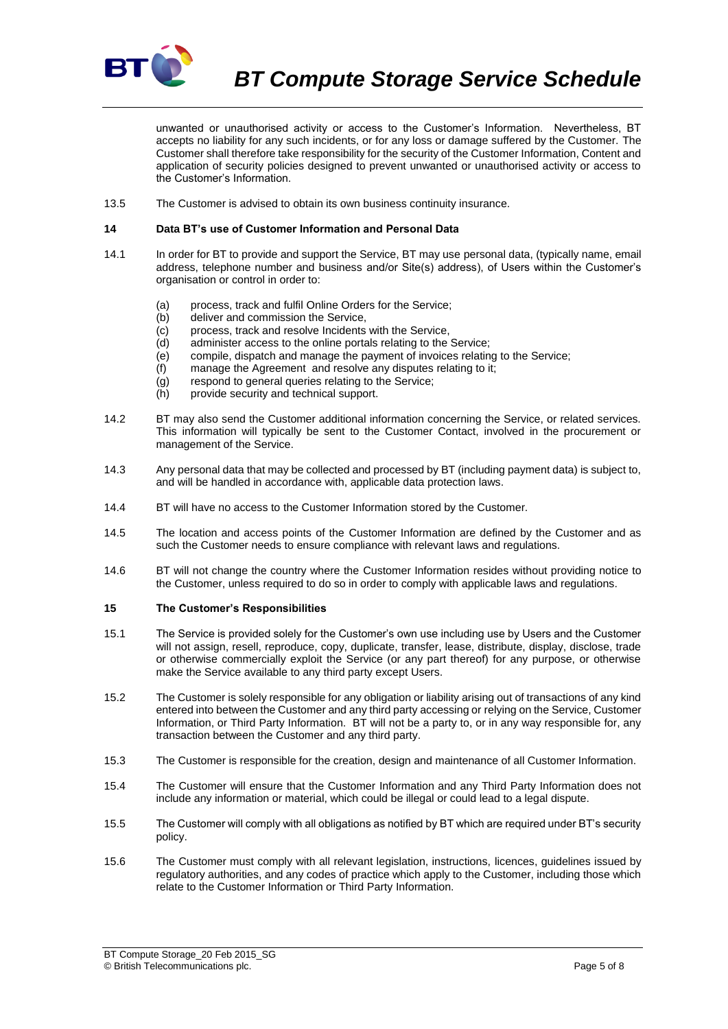

*BT Compute Storage Service Schedule*

unwanted or unauthorised activity or access to the Customer's Information. Nevertheless, BT accepts no liability for any such incidents, or for any loss or damage suffered by the Customer. The Customer shall therefore take responsibility for the security of the Customer Information, Content and application of security policies designed to prevent unwanted or unauthorised activity or access to the Customer's Information.

13.5 The Customer is advised to obtain its own business continuity insurance.

#### **14 Data BT's use of Customer Information and Personal Data**

- 14.1 In order for BT to provide and support the Service, BT may use personal data, (typically name, email address, telephone number and business and/or Site(s) address), of Users within the Customer's organisation or control in order to:
	- (a) process, track and fulfil Online Orders for the Service;
	- (b) deliver and commission the Service,
	- (c) process, track and resolve Incidents with the Service,
	- (d) administer access to the online portals relating to the Service;
	- (e) compile, dispatch and manage the payment of invoices relating to the Service;
	- (f) manage the Agreement and resolve any disputes relating to it;
	- (g) respond to general queries relating to the Service;
	- (h) provide security and technical support.
- 14.2 BT may also send the Customer additional information concerning the Service, or related services. This information will typically be sent to the Customer Contact, involved in the procurement or management of the Service.
- 14.3 Any personal data that may be collected and processed by BT (including payment data) is subject to, and will be handled in accordance with, applicable data protection laws.
- 14.4 BT will have no access to the Customer Information stored by the Customer.
- 14.5 The location and access points of the Customer Information are defined by the Customer and as such the Customer needs to ensure compliance with relevant laws and regulations.
- 14.6 BT will not change the country where the Customer Information resides without providing notice to the Customer, unless required to do so in order to comply with applicable laws and regulations.

### <span id="page-4-0"></span>**15 The Customer's Responsibilities**

- 15.1 The Service is provided solely for the Customer's own use including use by Users and the Customer will not assign, resell, reproduce, copy, duplicate, transfer, lease, distribute, display, disclose, trade or otherwise commercially exploit the Service (or any part thereof) for any purpose, or otherwise make the Service available to any third party except Users.
- 15.2 The Customer is solely responsible for any obligation or liability arising out of transactions of any kind entered into between the Customer and any third party accessing or relying on the Service, Customer Information, or Third Party Information. BT will not be a party to, or in any way responsible for, any transaction between the Customer and any third party.
- 15.3 The Customer is responsible for the creation, design and maintenance of all Customer Information.
- 15.4 The Customer will ensure that the Customer Information and any Third Party Information does not include any information or material, which could be illegal or could lead to a legal dispute.
- 15.5 The Customer will comply with all obligations as notified by BT which are required under BT's security policy.
- 15.6 The Customer must comply with all relevant legislation, instructions, licences, guidelines issued by regulatory authorities, and any codes of practice which apply to the Customer, including those which relate to the Customer Information or Third Party Information.

BT Compute Storage\_20 Feb 2015\_SG © British Telecommunications plc. Page 5 of 8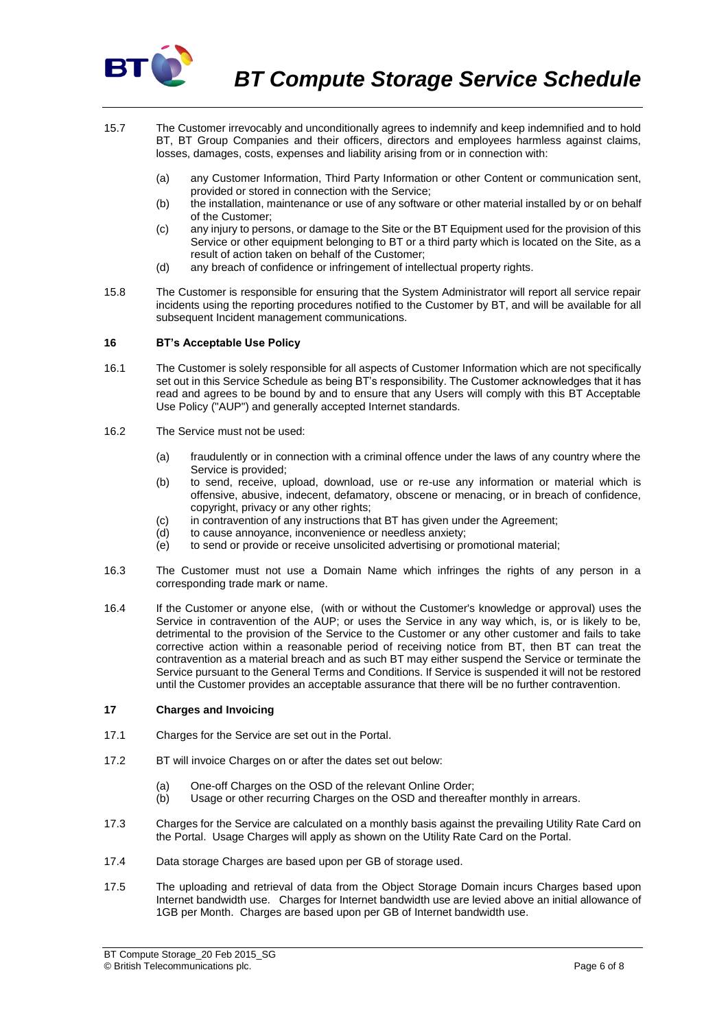

- 15.7 The Customer irrevocably and unconditionally agrees to indemnify and keep indemnified and to hold BT, BT Group Companies and their officers, directors and employees harmless against claims, losses, damages, costs, expenses and liability arising from or in connection with:
	- (a) any Customer Information, Third Party Information or other Content or communication sent, provided or stored in connection with the Service;
	- (b) the installation, maintenance or use of any software or other material installed by or on behalf of the Customer;
	- (c) any injury to persons, or damage to the Site or the BT Equipment used for the provision of this Service or other equipment belonging to BT or a third party which is located on the Site, as a result of action taken on behalf of the Customer;
	- (d) any breach of confidence or infringement of intellectual property rights.
- 15.8 The Customer is responsible for ensuring that the System Administrator will report all service repair incidents using the reporting procedures notified to the Customer by BT, and will be available for all subsequent Incident management communications.

### **16 BT's Acceptable Use Policy**

- 16.1 The Customer is solely responsible for all aspects of Customer Information which are not specifically set out in this Service Schedule as being BT's responsibility. The Customer acknowledges that it has read and agrees to be bound by and to ensure that any Users will comply with this BT Acceptable Use Policy ("AUP") and generally accepted Internet standards.
- 16.2 The Service must not be used:
	- (a) fraudulently or in connection with a criminal offence under the laws of any country where the Service is provided;
	- (b) to send, receive, upload, download, use or re-use any information or material which is offensive, abusive, indecent, defamatory, obscene or menacing, or in breach of confidence, copyright, privacy or any other rights;
	- (c) in contravention of any instructions that BT has given under the Agreement;
	- (d) to cause annoyance, inconvenience or needless anxiety;
	- (e) to send or provide or receive unsolicited advertising or promotional material;
- 16.3 The Customer must not use a Domain Name which infringes the rights of any person in a corresponding trade mark or name.
- 16.4 If the Customer or anyone else, (with or without the Customer's knowledge or approval) uses the Service in contravention of the AUP; or uses the Service in any way which, is, or is likely to be, detrimental to the provision of the Service to the Customer or any other customer and fails to take corrective action within a reasonable period of receiving notice from BT, then BT can treat the contravention as a material breach and as such BT may either suspend the Service or terminate the Service pursuant to the General Terms and Conditions. If Service is suspended it will not be restored until the Customer provides an acceptable assurance that there will be no further contravention.

### **17 Charges and Invoicing**

- 17.1 Charges for the Service are set out in the Portal.
- 17.2 BT will invoice Charges on or after the dates set out below:
	- (a) One-off Charges on the OSD of the relevant Online Order:
	- (b) Usage or other recurring Charges on the OSD and thereafter monthly in arrears.
- 17.3 Charges for the Service are calculated on a monthly basis against the prevailing Utility Rate Card on the Portal. Usage Charges will apply as shown on the Utility Rate Card on the Portal.
- 17.4 Data storage Charges are based upon per GB of storage used.
- 17.5 The uploading and retrieval of data from the Object Storage Domain incurs Charges based upon Internet bandwidth use. Charges for Internet bandwidth use are levied above an initial allowance of 1GB per Month. Charges are based upon per GB of Internet bandwidth use.

BT Compute Storage\_20 Feb 2015\_SG © British Telecommunications plc. Page 6 of 8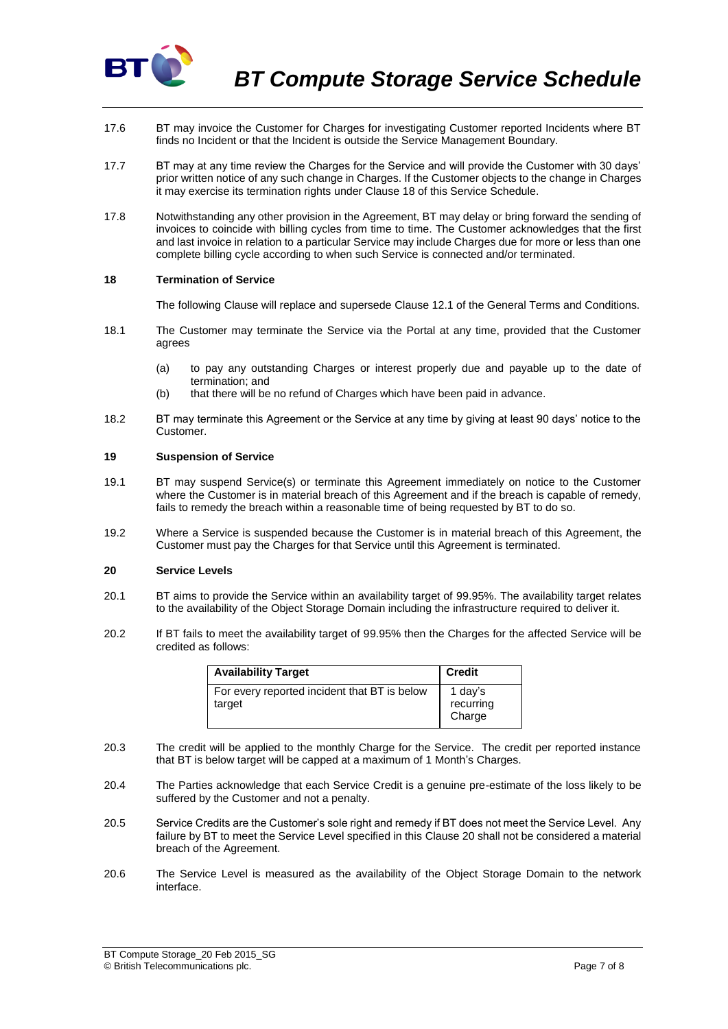

- 17.6 BT may invoice the Customer for Charges for investigating Customer reported Incidents where BT finds no Incident or that the Incident is outside the Service Management Boundary.
- 17.7 BT may at any time review the Charges for the Service and will provide the Customer with 30 days' prior written notice of any such change in Charges. If the Customer objects to the change in Charges it may exercise its termination rights under Clause 18 of this Service Schedule.
- 17.8 Notwithstanding any other provision in the Agreement, BT may delay or bring forward the sending of invoices to coincide with billing cycles from time to time. The Customer acknowledges that the first and last invoice in relation to a particular Service may include Charges due for more or less than one complete billing cycle according to when such Service is connected and/or terminated.

### **18 Termination of Service**

The following Clause will replace and supersede Clause 12.1 of the General Terms and Conditions.

- 18.1 The Customer may terminate the Service via the Portal at any time, provided that the Customer agrees
	- (a) to pay any outstanding Charges or interest properly due and payable up to the date of termination; and
	- (b) that there will be no refund of Charges which have been paid in advance.
- 18.2 BT may terminate this Agreement or the Service at any time by giving at least 90 days' notice to the Customer.

#### **19 Suspension of Service**

- 19.1 BT may suspend Service(s) or terminate this Agreement immediately on notice to the Customer where the Customer is in material breach of this Agreement and if the breach is capable of remedy, fails to remedy the breach within a reasonable time of being requested by BT to do so.
- 19.2 Where a Service is suspended because the Customer is in material breach of this Agreement, the Customer must pay the Charges for that Service until this Agreement is terminated.

# <span id="page-6-0"></span>**20 Service Levels**

- 20.1 BT aims to provide the Service within an availability target of 99.95%. The availability target relates to the availability of the Object Storage Domain including the infrastructure required to deliver it.
- 20.2 If BT fails to meet the availability target of 99.95% then the Charges for the affected Service will be credited as follows:

| <b>Availability Target</b>                             | <b>Credit</b>                  |
|--------------------------------------------------------|--------------------------------|
| For every reported incident that BT is below<br>target | 1 day's<br>recurring<br>Charge |

- 20.3 The credit will be applied to the monthly Charge for the Service. The credit per reported instance that BT is below target will be capped at a maximum of 1 Month's Charges.
- 20.4 The Parties acknowledge that each Service Credit is a genuine pre-estimate of the loss likely to be suffered by the Customer and not a penalty.
- 20.5 Service Credits are the Customer's sole right and remedy if BT does not meet the Service Level. Any failure by BT to meet the Service Level specified in this Clause [20](#page-6-0) shall not be considered a material breach of the Agreement.
- 20.6 The Service Level is measured as the availability of the Object Storage Domain to the network interface.

BT Compute Storage\_20 Feb 2015\_SG © British Telecommunications plc. Page 7 of 8